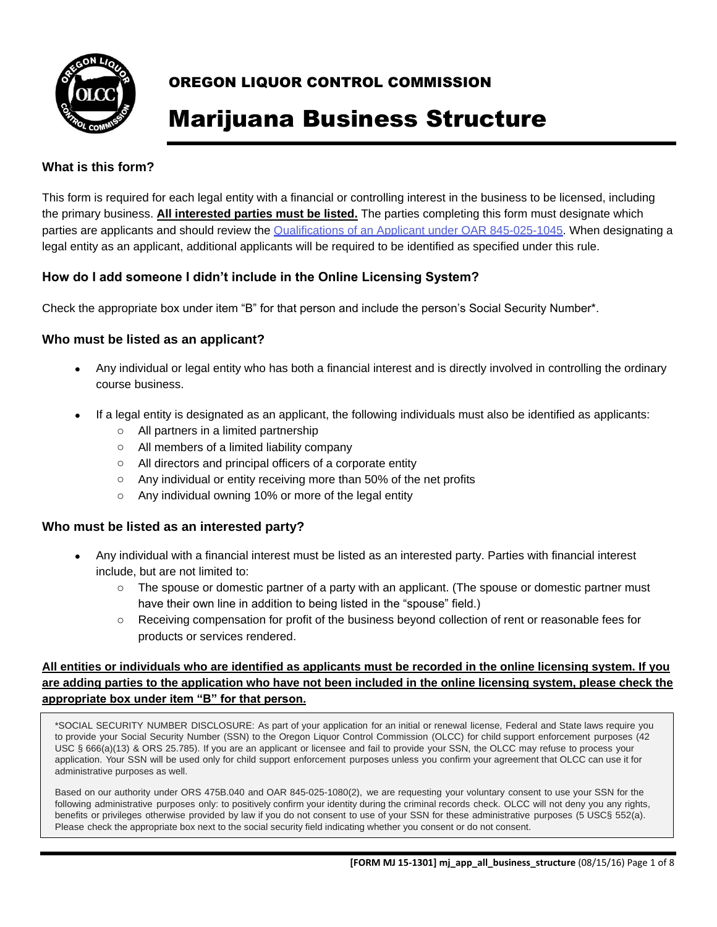

# Marijuana Business Structure

#### **What is this form?**

This form is required for each legal entity with a financial or controlling interest in the business to be licensed, including the primary business. **All interested parties must be listed.** The parties completing this form must designate which parties are applicants and should review the Qualifications of an Applicant under OAR 845-025-1045. When designating a legal entity as an applicant, additional applicants will be required to be identified as specified under this rule.

#### **How do I add someone I didn't include in the Online Licensing System?**

Check the appropriate box under item "B" for that person and include the person's Social Security Number\*.

#### **Who must be listed as an applicant?**

- Any individual or legal entity who has both a financial interest and is directly involved in controlling the ordinary course business.
- If a legal entity is designated as an applicant, the following individuals must also be identified as applicants:
	- o All partners in a limited partnership
	- o All members of a limited liability company
	- o All directors and principal officers of a corporate entity
	- o Any individual or entity receiving more than 50% of the net profits
	- o Any individual owning 10% or more of the legal entity

#### **Who must be listed as an interested party?**

- Any individual with a financial interest must be listed as an interested party. Parties with financial interest include, but are not limited to:
	- $\circ$  The spouse or domestic partner of a party with an applicant. (The spouse or domestic partner must have their own line in addition to being listed in the "spouse" field.)
	- o Receiving compensation for profit of the business beyond collection of rent or reasonable fees for products or services rendered.

#### **All entities or individuals who are identified as applicants must be recorded in the online licensing system. If you are adding parties to the application who have not been included in the online licensing system, please check the appropriate box under item "B" for that person.**

\*SOCIAL SECURITY NUMBER DISCLOSURE: As part of your application for an initial or renewal license, Federal and State laws require you to provide your Social Security Number (SSN) to the Oregon Liquor Control Commission (OLCC) for child support enforcement purposes (42 USC § 666(a)(13) & ORS 25.785). If you are an applicant or licensee and fail to provide your SSN, the OLCC may refuse to process your application. Your SSN will be used only for child support enforcement purposes unless you confirm your agreement that OLCC can use it for administrative purposes as well.

Based on our authority under ORS 475B.040 and OAR 845-025-1080(2), we are requesting your voluntary consent to use your SSN for the following administrative purposes only: to positively confirm your identity during the criminal records check. OLCC will not deny you any rights, benefits or privileges otherwise provided by law if you do not consent to use of your SSN for these administrative purposes (5 USC§ 552(a). Please check the appropriate box next to the social security field indicating whether you consent or do not consent.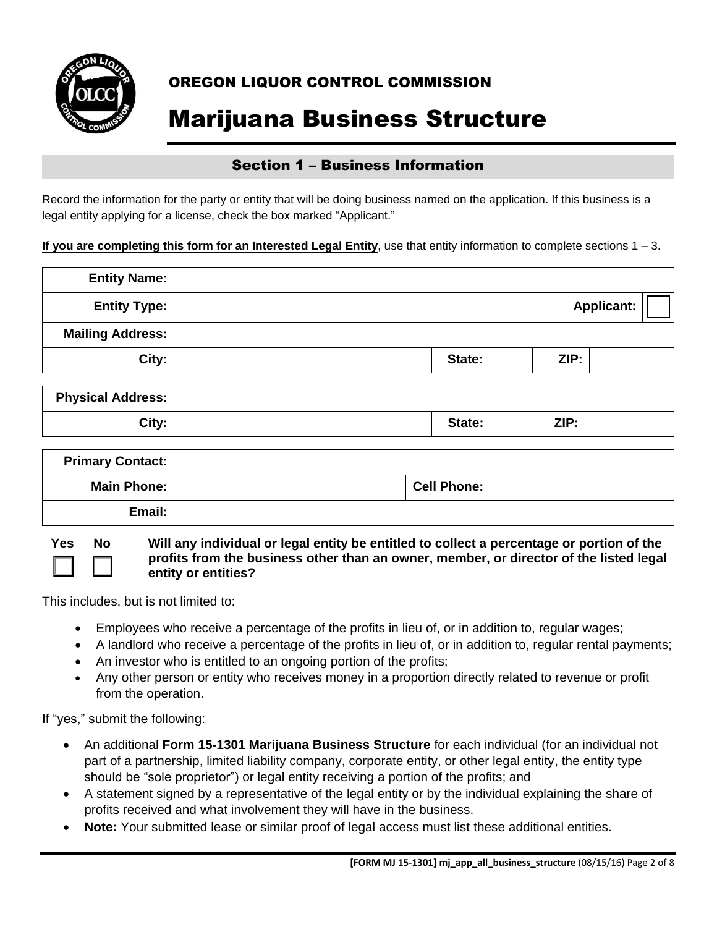

## Marijuana Business Structure

#### Section 1 – Business Information

Record the information for the party or entity that will be doing business named on the application. If this business is a legal entity applying for a license, check the box marked "Applicant."

**If you are completing this form for an Interested Legal Entity**, use that entity information to complete sections 1 – 3.

| <b>Entity Name:</b>     |        |      |                   |
|-------------------------|--------|------|-------------------|
| <b>Entity Type:</b>     |        |      | <b>Applicant:</b> |
| <b>Mailing Address:</b> |        |      |                   |
| City:                   | State: | ZIP: |                   |

| <b>Physical Address:</b> |        |      |  |
|--------------------------|--------|------|--|
| City:                    | State: | ZIP: |  |

| <b>Primary Contact:</b> |                    |  |
|-------------------------|--------------------|--|
| Main Phone:             | <b>Cell Phone:</b> |  |
| Email:                  |                    |  |

**Yes No Will any individual or legal entity be entitled to collect a percentage or portion of the profits from the business other than an owner, member, or director of the listed legal entity or entities?** 

This includes, but is not limited to:

- Employees who receive a percentage of the profits in lieu of, or in addition to, regular wages;
- A landlord who receive a percentage of the profits in lieu of, or in addition to, regular rental payments;
- An investor who is entitled to an ongoing portion of the profits;
- Any other person or entity who receives money in a proportion directly related to revenue or profit from the operation.

If "yes," submit the following:

- An additional **Form 15-1301 Marijuana Business Structure** for each individual (for an individual not part of a partnership, limited liability company, corporate entity, or other legal entity, the entity type should be "sole proprietor") or legal entity receiving a portion of the profits; and
- A statement signed by a representative of the legal entity or by the individual explaining the share of profits received and what involvement they will have in the business.
- **Note:** Your submitted lease or similar proof of legal access must list these additional entities.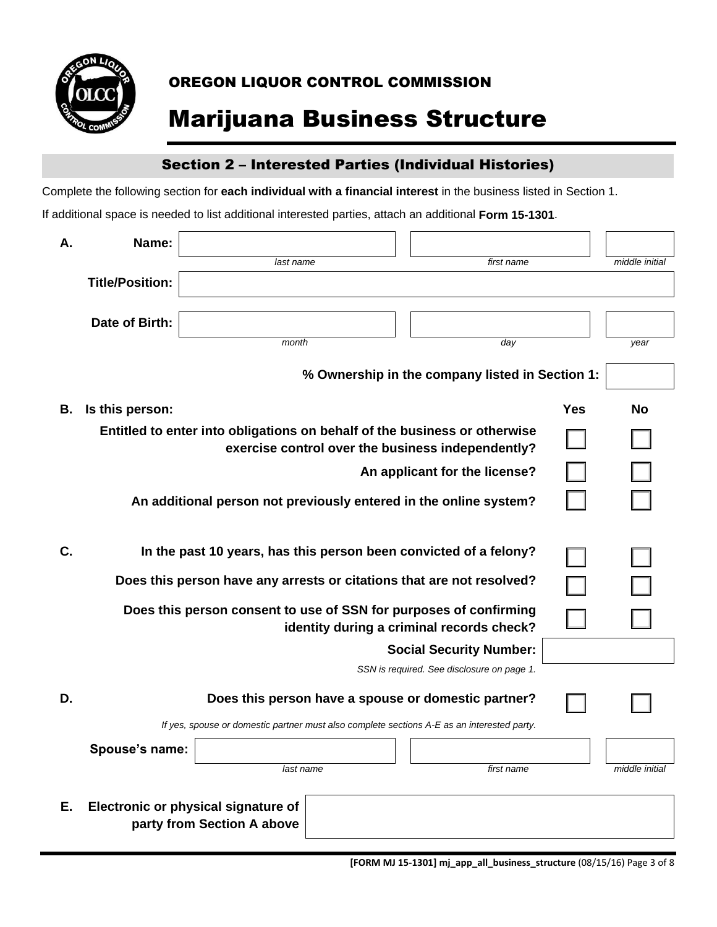

# Marijuana Business Structure

### Section 2 – Interested Parties (Individual Histories)

Complete the following section for **each individual with a financial interest** in the business listed in Section 1.

| Α. | Name:                  |                                                                                            |                                                     |     |                |
|----|------------------------|--------------------------------------------------------------------------------------------|-----------------------------------------------------|-----|----------------|
|    |                        | last name                                                                                  | first name                                          |     | middle initial |
|    | <b>Title/Position:</b> |                                                                                            |                                                     |     |                |
|    |                        |                                                                                            |                                                     |     |                |
|    | Date of Birth:         |                                                                                            |                                                     |     |                |
|    |                        | month                                                                                      | day                                                 |     | year           |
|    |                        |                                                                                            | % Ownership in the company listed in Section 1:     |     |                |
| В. | Is this person:        |                                                                                            |                                                     | Yes | <b>No</b>      |
|    |                        | Entitled to enter into obligations on behalf of the business or otherwise                  | exercise control over the business independently?   |     |                |
|    |                        |                                                                                            | An applicant for the license?                       |     |                |
|    |                        | An additional person not previously entered in the online system?                          |                                                     |     |                |
| C. |                        | In the past 10 years, has this person been convicted of a felony?                          |                                                     |     |                |
|    |                        | Does this person have any arrests or citations that are not resolved?                      |                                                     |     |                |
|    |                        | Does this person consent to use of SSN for purposes of confirming                          | identity during a criminal records check?           |     |                |
|    |                        |                                                                                            | <b>Social Security Number:</b>                      |     |                |
|    |                        |                                                                                            | SSN is required. See disclosure on page 1.          |     |                |
| D. |                        |                                                                                            | Does this person have a spouse or domestic partner? |     |                |
|    |                        | If yes, spouse or domestic partner must also complete sections A-E as an interested party. |                                                     |     |                |
|    | Spouse's name:         |                                                                                            |                                                     |     |                |
|    |                        | last name                                                                                  | first name                                          |     | middle initial |
| Е. |                        | Electronic or physical signature of<br>party from Section A above                          |                                                     |     |                |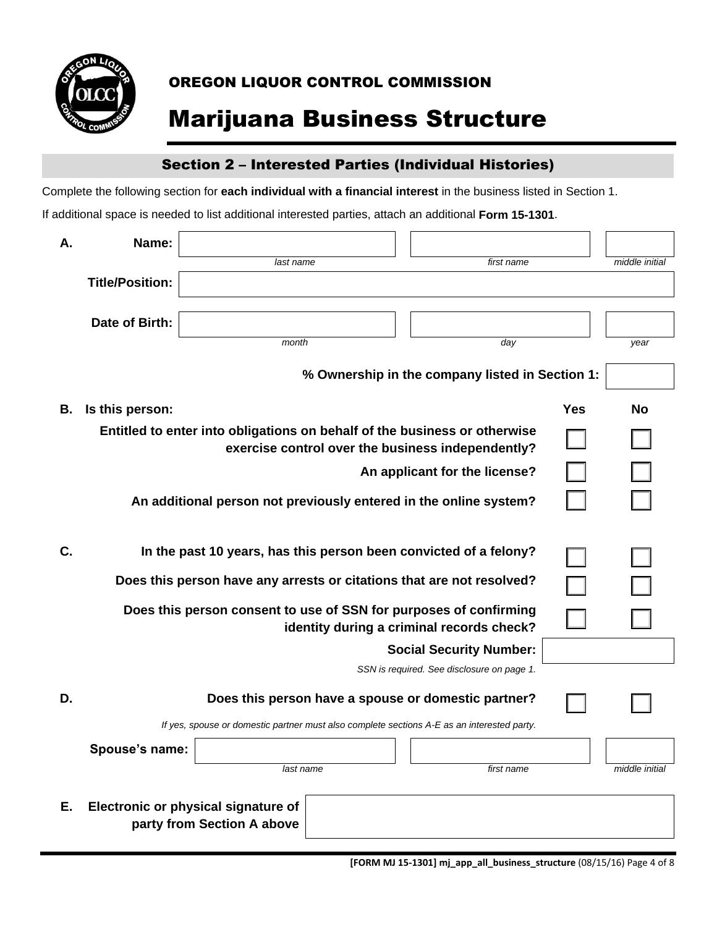

# Marijuana Business Structure

### Section 2 – Interested Parties (Individual Histories)

Complete the following section for **each individual with a financial interest** in the business listed in Section 1.

| Α. | Name:                  |                                     |                                                                                            |     |                |
|----|------------------------|-------------------------------------|--------------------------------------------------------------------------------------------|-----|----------------|
|    |                        | last name                           | first name                                                                                 |     | middle initial |
|    | <b>Title/Position:</b> |                                     |                                                                                            |     |                |
|    | Date of Birth:         |                                     |                                                                                            |     |                |
|    |                        | month                               |                                                                                            |     |                |
|    |                        |                                     | day                                                                                        |     | year           |
|    |                        |                                     | % Ownership in the company listed in Section 1:                                            |     |                |
| В. | Is this person:        |                                     |                                                                                            | Yes | No             |
|    |                        |                                     | Entitled to enter into obligations on behalf of the business or otherwise                  |     |                |
|    |                        |                                     | exercise control over the business independently?                                          |     |                |
|    |                        |                                     | An applicant for the license?                                                              |     |                |
|    |                        |                                     | An additional person not previously entered in the online system?                          |     |                |
|    |                        |                                     |                                                                                            |     |                |
| C. |                        |                                     | In the past 10 years, has this person been convicted of a felony?                          |     |                |
|    |                        |                                     | Does this person have any arrests or citations that are not resolved?                      |     |                |
|    |                        |                                     | Does this person consent to use of SSN for purposes of confirming                          |     |                |
|    |                        |                                     | identity during a criminal records check?                                                  |     |                |
|    |                        |                                     | <b>Social Security Number:</b>                                                             |     |                |
|    |                        |                                     | SSN is required. See disclosure on page 1.                                                 |     |                |
| D. |                        |                                     | Does this person have a spouse or domestic partner?                                        |     |                |
|    |                        |                                     | If yes, spouse or domestic partner must also complete sections A-E as an interested party. |     |                |
|    | Spouse's name:         |                                     |                                                                                            |     |                |
|    |                        | last name                           | first name                                                                                 |     | middle initial |
|    |                        |                                     |                                                                                            |     |                |
| Е. |                        | Electronic or physical signature of |                                                                                            |     |                |
|    |                        | party from Section A above          |                                                                                            |     |                |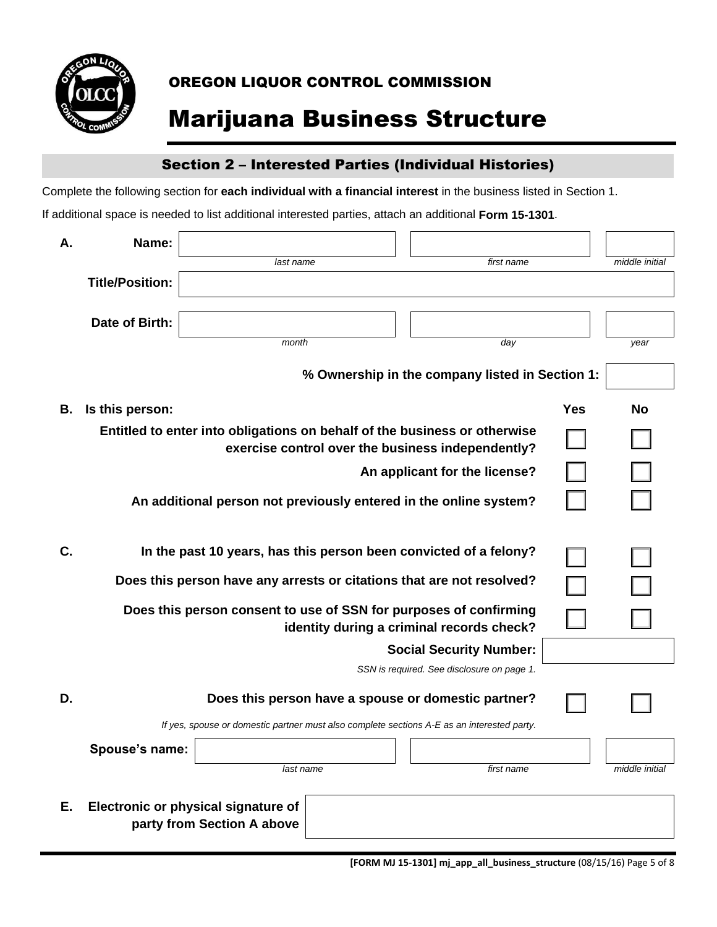

# Marijuana Business Structure

### Section 2 – Interested Parties (Individual Histories)

Complete the following section for **each individual with a financial interest** in the business listed in Section 1.

| А. | Name:                  |                                                                                            |                                                                                                                                |     |                |
|----|------------------------|--------------------------------------------------------------------------------------------|--------------------------------------------------------------------------------------------------------------------------------|-----|----------------|
|    |                        | last name                                                                                  | first name                                                                                                                     |     | middle initial |
|    | <b>Title/Position:</b> |                                                                                            |                                                                                                                                |     |                |
|    | Date of Birth:         |                                                                                            |                                                                                                                                |     |                |
|    |                        | month                                                                                      | day                                                                                                                            |     | year           |
|    |                        |                                                                                            |                                                                                                                                |     |                |
|    |                        |                                                                                            | % Ownership in the company listed in Section 1:                                                                                |     |                |
| В. | Is this person:        |                                                                                            |                                                                                                                                | Yes | No             |
|    |                        |                                                                                            | Entitled to enter into obligations on behalf of the business or otherwise<br>exercise control over the business independently? |     |                |
|    |                        |                                                                                            | An applicant for the license?                                                                                                  |     |                |
|    |                        | An additional person not previously entered in the online system?                          |                                                                                                                                |     |                |
| C. |                        | In the past 10 years, has this person been convicted of a felony?                          |                                                                                                                                |     |                |
|    |                        | Does this person have any arrests or citations that are not resolved?                      |                                                                                                                                |     |                |
|    |                        | Does this person consent to use of SSN for purposes of confirming                          | identity during a criminal records check?                                                                                      |     |                |
|    |                        |                                                                                            | <b>Social Security Number:</b>                                                                                                 |     |                |
|    |                        |                                                                                            | SSN is required. See disclosure on page 1.                                                                                     |     |                |
| D. |                        |                                                                                            | Does this person have a spouse or domestic partner?                                                                            |     |                |
|    |                        | If yes, spouse or domestic partner must also complete sections A-E as an interested party. |                                                                                                                                |     |                |
|    | Spouse's name:         |                                                                                            |                                                                                                                                |     |                |
|    |                        | last name                                                                                  | first name                                                                                                                     |     | middle initial |
| Е. |                        | Electronic or physical signature of<br>party from Section A above                          |                                                                                                                                |     |                |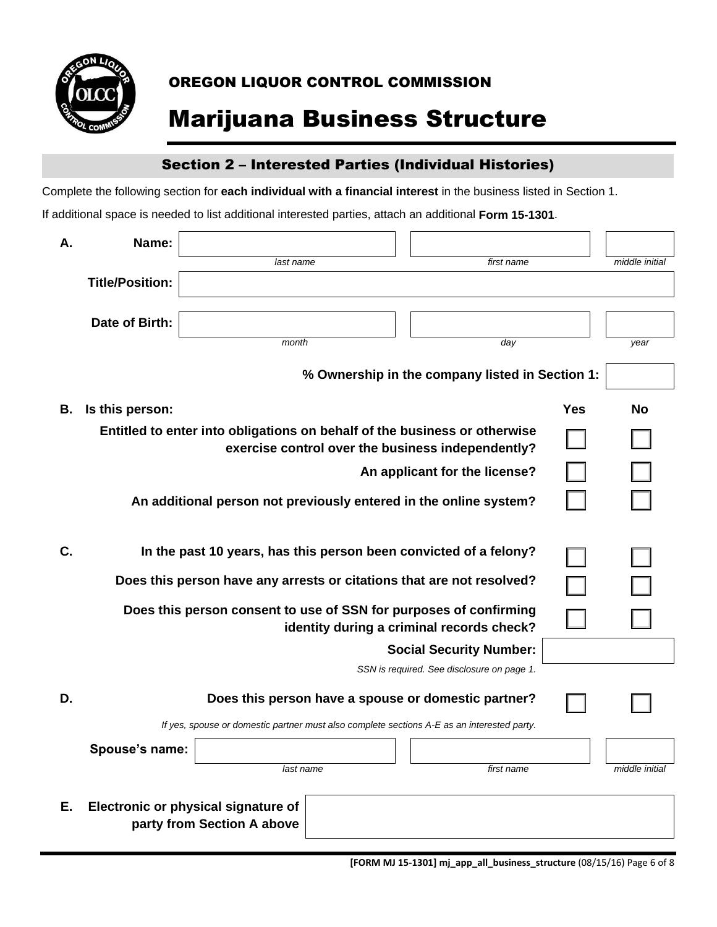

# Marijuana Business Structure

### Section 2 – Interested Parties (Individual Histories)

Complete the following section for **each individual with a financial interest** in the business listed in Section 1.

| Α. | Name:                  |                                                                   |                                                                                            |     |                |
|----|------------------------|-------------------------------------------------------------------|--------------------------------------------------------------------------------------------|-----|----------------|
|    |                        | last name                                                         | first name                                                                                 |     | middle initial |
|    | <b>Title/Position:</b> |                                                                   |                                                                                            |     |                |
|    |                        |                                                                   |                                                                                            |     |                |
|    | Date of Birth:         |                                                                   |                                                                                            |     |                |
|    |                        | month                                                             | day                                                                                        |     | year           |
|    |                        |                                                                   | % Ownership in the company listed in Section 1:                                            |     |                |
| В. | Is this person:        |                                                                   |                                                                                            | Yes | No             |
|    |                        |                                                                   | Entitled to enter into obligations on behalf of the business or otherwise                  |     |                |
|    |                        |                                                                   | exercise control over the business independently?                                          |     |                |
|    |                        |                                                                   | An applicant for the license?                                                              |     |                |
|    |                        |                                                                   | An additional person not previously entered in the online system?                          |     |                |
|    |                        |                                                                   |                                                                                            |     |                |
| C. |                        |                                                                   | In the past 10 years, has this person been convicted of a felony?                          |     |                |
|    |                        |                                                                   | Does this person have any arrests or citations that are not resolved?                      |     |                |
|    |                        |                                                                   | Does this person consent to use of SSN for purposes of confirming                          |     |                |
|    |                        |                                                                   | identity during a criminal records check?                                                  |     |                |
|    |                        |                                                                   | <b>Social Security Number:</b>                                                             |     |                |
|    |                        |                                                                   | SSN is required. See disclosure on page 1.                                                 |     |                |
| D. |                        |                                                                   | Does this person have a spouse or domestic partner?                                        |     |                |
|    |                        |                                                                   | If yes, spouse or domestic partner must also complete sections A-E as an interested party. |     |                |
|    | Spouse's name:         |                                                                   |                                                                                            |     |                |
|    |                        | last name                                                         | first name                                                                                 |     | middle initial |
|    |                        |                                                                   |                                                                                            |     |                |
| Е. |                        | Electronic or physical signature of<br>party from Section A above |                                                                                            |     |                |
|    |                        |                                                                   |                                                                                            |     |                |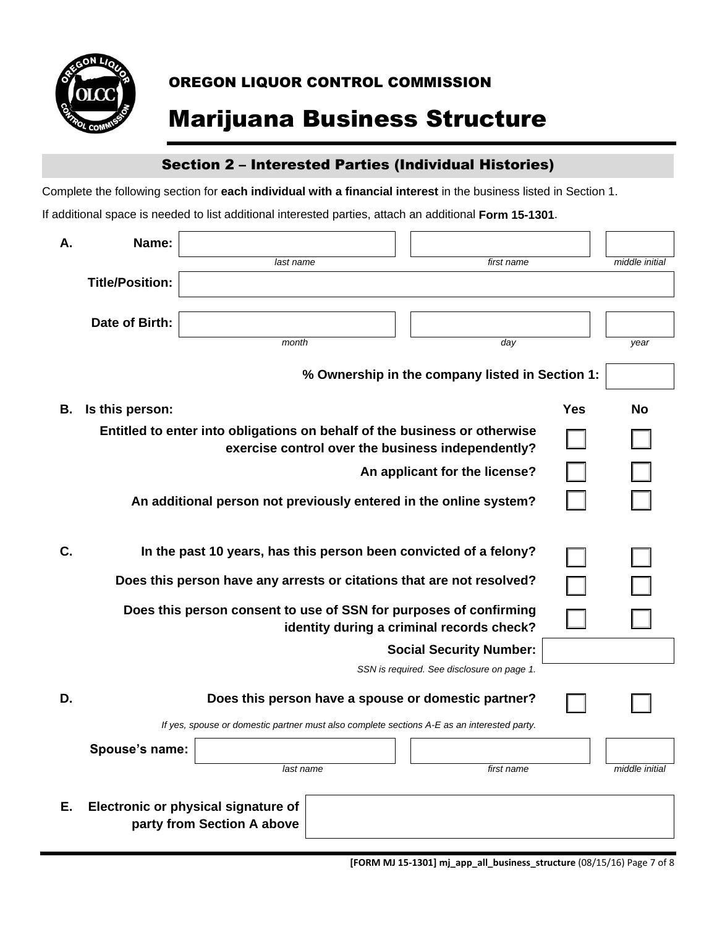

# Marijuana Business Structure

### Section 2 – Interested Parties (Individual Histories)

Complete the following section for **each individual with a financial interest** in the business listed in Section 1.

| Α. | Name:                  |                                     |                                                                                            |     |                |
|----|------------------------|-------------------------------------|--------------------------------------------------------------------------------------------|-----|----------------|
|    |                        | last name                           | first name                                                                                 |     | middle initial |
|    | <b>Title/Position:</b> |                                     |                                                                                            |     |                |
|    | Date of Birth:         |                                     |                                                                                            |     |                |
|    |                        | month                               |                                                                                            |     |                |
|    |                        |                                     | day                                                                                        |     | year           |
|    |                        |                                     | % Ownership in the company listed in Section 1:                                            |     |                |
| В. | Is this person:        |                                     |                                                                                            | Yes | No             |
|    |                        |                                     | Entitled to enter into obligations on behalf of the business or otherwise                  |     |                |
|    |                        |                                     | exercise control over the business independently?                                          |     |                |
|    |                        |                                     | An applicant for the license?                                                              |     |                |
|    |                        |                                     | An additional person not previously entered in the online system?                          |     |                |
|    |                        |                                     |                                                                                            |     |                |
| C. |                        |                                     | In the past 10 years, has this person been convicted of a felony?                          |     |                |
|    |                        |                                     | Does this person have any arrests or citations that are not resolved?                      |     |                |
|    |                        |                                     | Does this person consent to use of SSN for purposes of confirming                          |     |                |
|    |                        |                                     | identity during a criminal records check?                                                  |     |                |
|    |                        |                                     | <b>Social Security Number:</b>                                                             |     |                |
|    |                        |                                     | SSN is required. See disclosure on page 1.                                                 |     |                |
| D. |                        |                                     | Does this person have a spouse or domestic partner?                                        |     |                |
|    |                        |                                     | If yes, spouse or domestic partner must also complete sections A-E as an interested party. |     |                |
|    | Spouse's name:         |                                     |                                                                                            |     |                |
|    |                        | last name                           | first name                                                                                 |     | middle initial |
|    |                        |                                     |                                                                                            |     |                |
| Е. |                        | Electronic or physical signature of |                                                                                            |     |                |
|    |                        | party from Section A above          |                                                                                            |     |                |